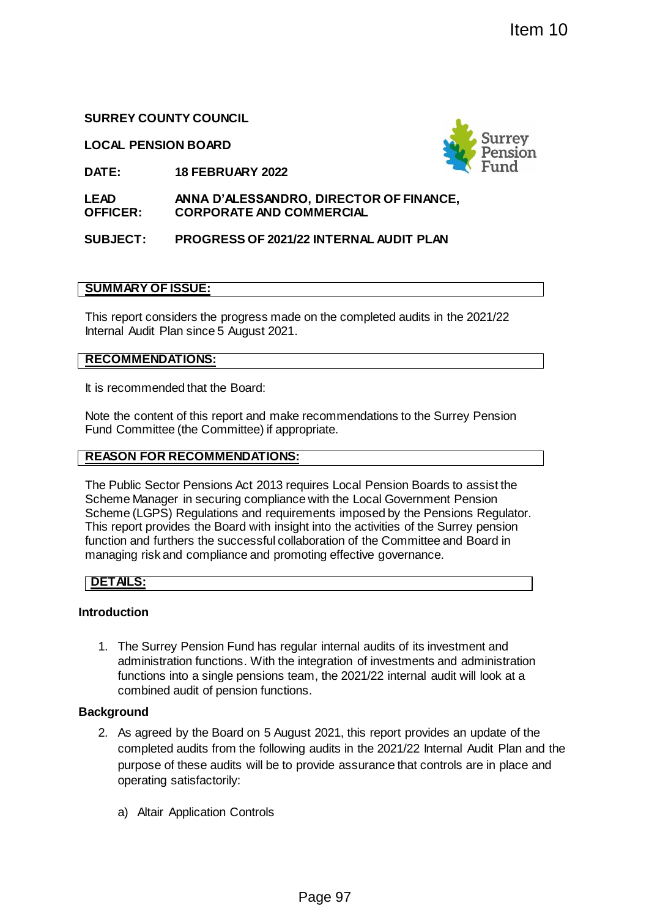# **SURREY COUNTY COUNCIL**

**LOCAL PENSION BOARD**



**LEAD OFFICER: ANNA D'ALESSANDRO, DIRECTOR OF FINANCE, CORPORATE AND COMMERCIAL**

# **SUBJECT: PROGRESS OF 2021/22 INTERNAL AUDIT PLAN**

## **SUMMARY OF ISSUE:**

This report considers the progress made on the completed audits in the 2021/22 Internal Audit Plan since 5 August 2021.

# **RECOMMENDATIONS:**

It is recommended that the Board:

Note the content of this report and make recommendations to the Surrey Pension Fund Committee (the Committee) if appropriate.

## **REASON FOR RECOMMENDATIONS:**

The Public Sector Pensions Act 2013 requires Local Pension Boards to assist the Scheme Manager in securing compliance with the Local Government Pension Scheme (LGPS) Regulations and requirements imposed by the Pensions Regulator. This report provides the Board with insight into the activities of the Surrey pension function and furthers the successful collaboration of the Committee and Board in managing risk and compliance and promoting effective governance. **EXECUTE AND SURFALL SURFALL SURFALL SURFALL SURFALL SURFALL SURFALL SURFALL SURFALL SURFALL SURFALL AUDIT PLAN<br>
22 INTERNAL AUDIT PLAN<br>
90 on the completed audits in the 2021/22<br>
120 on the completed audits in the 2021/22** 

### **DETAILS:**

### **Introduction**

1. The Surrey Pension Fund has regular internal audits of its investment and administration functions. With the integration of investments and administration functions into a single pensions team, the 2021/22 internal audit will look at a combined audit of pension functions.

# **Background**

- 2. As agreed by the Board on 5 August 2021, this report provides an update of the completed audits from the following audits in the 2021/22 Internal Audit Plan and the purpose of these audits will be to provide assurance that controls are in place and operating satisfactorily:
	- a) Altair Application Controls

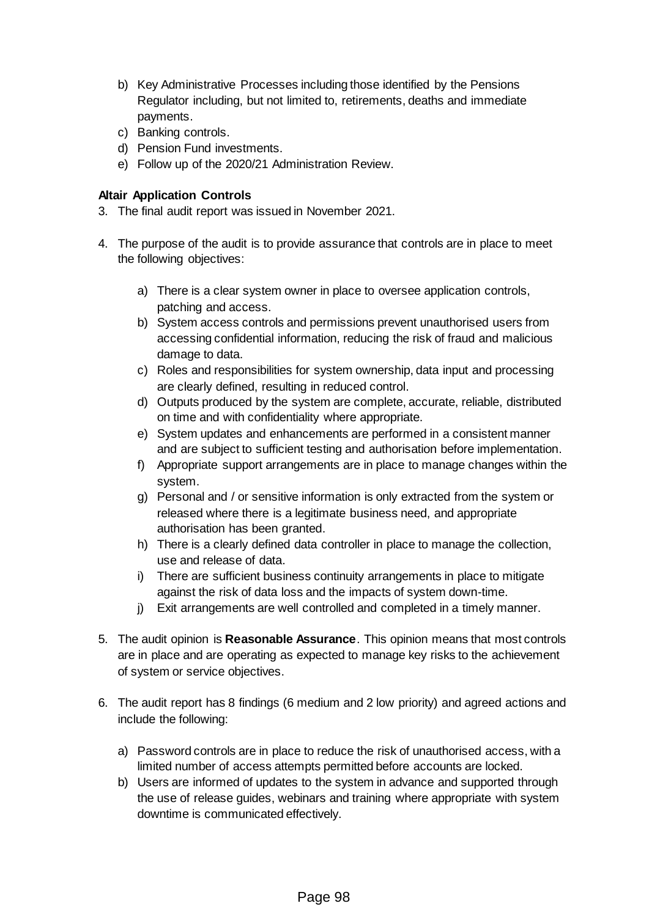- b) Key Administrative Processes including those identified by the Pensions Regulator including, but not limited to, retirements, deaths and immediate payments.
- c) Banking controls.
- d) Pension Fund investments.
- e) Follow up of the 2020/21 Administration Review.

### **Altair Application Controls**

- 3. The final audit report was issued in November 2021.
- 4. The purpose of the audit is to provide assurance that controls are in place to meet the following objectives:
	- a) There is a clear system owner in place to oversee application controls, patching and access.
	- b) System access controls and permissions prevent unauthorised users from accessing confidential information, reducing the risk of fraud and malicious damage to data.
	- c) Roles and responsibilities for system ownership, data input and processing are clearly defined, resulting in reduced control.
	- d) Outputs produced by the system are complete, accurate, reliable, distributed on time and with confidentiality where appropriate.
	- e) System updates and enhancements are performed in a consistent manner and are subject to sufficient testing and authorisation before implementation.
	- f) Appropriate support arrangements are in place to manage changes within the system.
	- g) Personal and / or sensitive information is only extracted from the system or released where there is a legitimate business need, and appropriate authorisation has been granted.
	- h) There is a clearly defined data controller in place to manage the collection, use and release of data.
	- i) There are sufficient business continuity arrangements in place to mitigate against the risk of data loss and the impacts of system down-time.
	- j) Exit arrangements are well controlled and completed in a timely manner.
- 5. The audit opinion is **Reasonable Assurance**. This opinion means that most controls are in place and are operating as expected to manage key risks to the achievement of system or service objectives.
- 6. The audit report has 8 findings (6 medium and 2 low priority) and agreed actions and include the following:
	- a) Password controls are in place to reduce the risk of unauthorised access, with a limited number of access attempts permitted before accounts are locked.
	- b) Users are informed of updates to the system in advance and supported through the use of release guides, webinars and training where appropriate with system downtime is communicated effectively.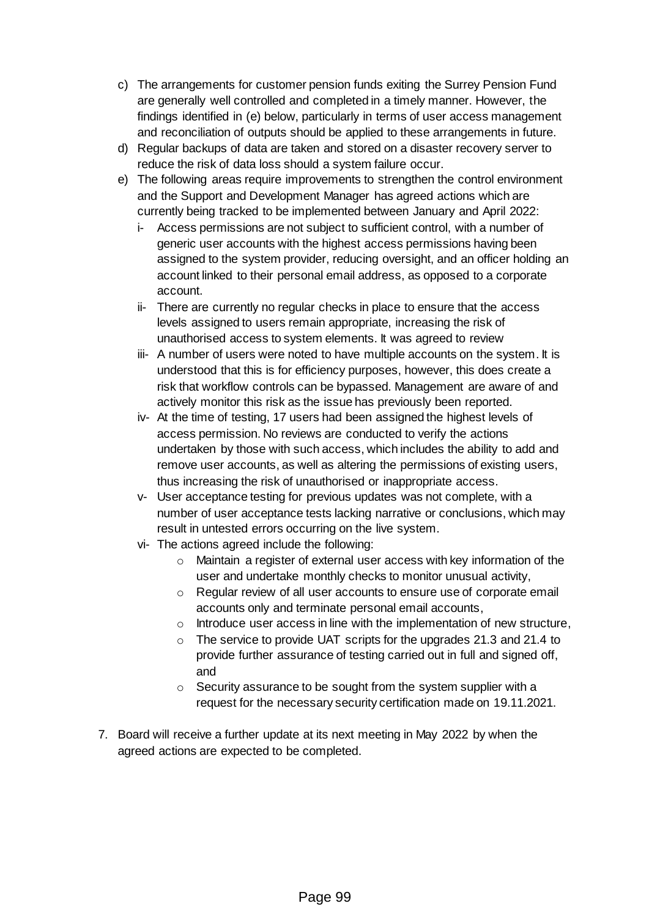- c) The arrangements for customer pension funds exiting the Surrey Pension Fund are generally well controlled and completed in a timely manner. However, the findings identified in (e) below, particularly in terms of user access management and reconciliation of outputs should be applied to these arrangements in future.
- d) Regular backups of data are taken and stored on a disaster recovery server to reduce the risk of data loss should a system failure occur.
- e) The following areas require improvements to strengthen the control environment and the Support and Development Manager has agreed actions which are currently being tracked to be implemented between January and April 2022:
	- i- Access permissions are not subject to sufficient control, with a number of generic user accounts with the highest access permissions having been assigned to the system provider, reducing oversight, and an officer holding an account linked to their personal email address, as opposed to a corporate account.
	- ii- There are currently no regular checks in place to ensure that the access levels assigned to users remain appropriate, increasing the risk of unauthorised access to system elements. It was agreed to review
	- iii- A number of users were noted to have multiple accounts on the system. It is understood that this is for efficiency purposes, however, this does create a risk that workflow controls can be bypassed. Management are aware of and actively monitor this risk as the issue has previously been reported.
	- iv- At the time of testing, 17 users had been assigned the highest levels of access permission. No reviews are conducted to verify the actions undertaken by those with such access, which includes the ability to add and remove user accounts, as well as altering the permissions of existing users, thus increasing the risk of unauthorised or inappropriate access.
	- v- User acceptance testing for previous updates was not complete, with a number of user acceptance tests lacking narrative or conclusions, which may result in untested errors occurring on the live system.
	- vi- The actions agreed include the following:
		- o Maintain a register of external user access with key information of the user and undertake monthly checks to monitor unusual activity,
		- o Regular review of all user accounts to ensure use of corporate email accounts only and terminate personal email accounts,
		- $\circ$  Introduce user access in line with the implementation of new structure,
		- o The service to provide UAT scripts for the upgrades 21.3 and 21.4 to provide further assurance of testing carried out in full and signed off, and
		- $\circ$  Security assurance to be sought from the system supplier with a request for the necessary security certification made on 19.11.2021.
- 7. Board will receive a further update at its next meeting in May 2022 by when the agreed actions are expected to be completed.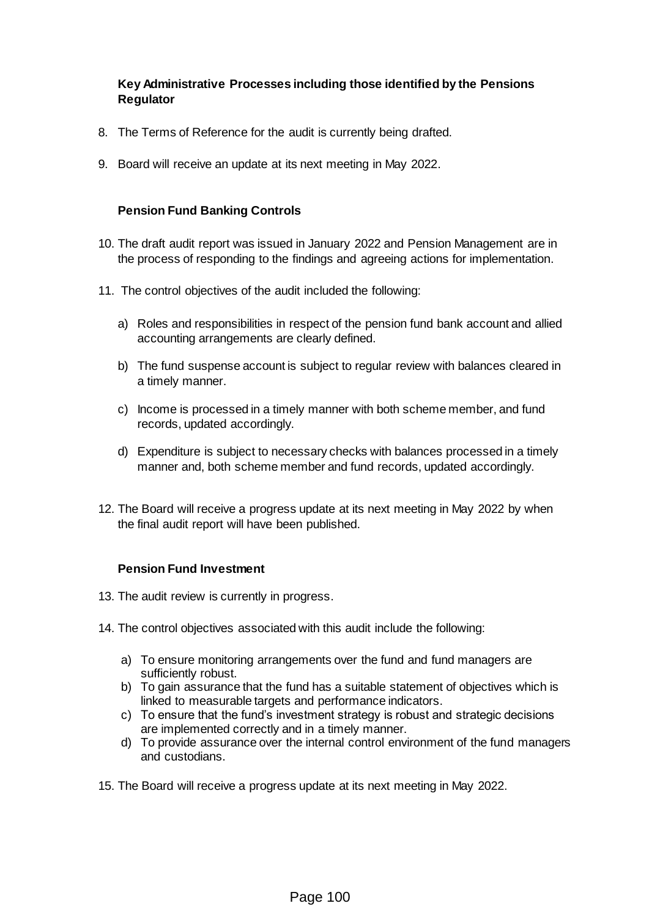### **Key Administrative Processes including those identified by the Pensions Regulator**

- 8. The Terms of Reference for the audit is currently being drafted.
- 9. Board will receive an update at its next meeting in May 2022.

### **Pension Fund Banking Controls**

- 10. The draft audit report was issued in January 2022 and Pension Management are in the process of responding to the findings and agreeing actions for implementation.
- 11. The control objectives of the audit included the following:
	- a) Roles and responsibilities in respect of the pension fund bank account and allied accounting arrangements are clearly defined.
	- b) The fund suspense account is subject to regular review with balances cleared in a timely manner.
	- c) Income is processed in a timely manner with both scheme member, and fund records, updated accordingly.
	- d) Expenditure is subject to necessary checks with balances processed in a timely manner and, both scheme member and fund records, updated accordingly.
- 12. The Board will receive a progress update at its next meeting in May 2022 by when the final audit report will have been published.

### **Pension Fund Investment**

- 13. The audit review is currently in progress.
- 14. The control objectives associated with this audit include the following:
	- a) To ensure monitoring arrangements over the fund and fund managers are sufficiently robust.
	- b) To gain assurance that the fund has a suitable statement of objectives which is linked to measurable targets and performance indicators.
	- c) To ensure that the fund's investment strategy is robust and strategic decisions are implemented correctly and in a timely manner.
	- d) To provide assurance over the internal control environment of the fund managers and custodians.
- 15. The Board will receive a progress update at its next meeting in May 2022.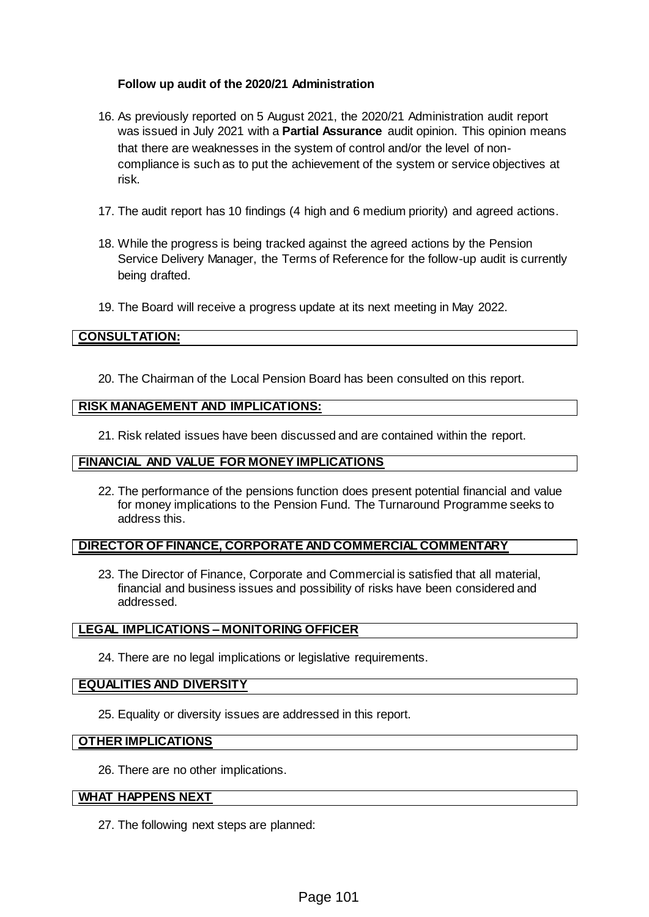### **Follow up audit of the 2020/21 Administration**

- 16. As previously reported on 5 August 2021, the 2020/21 Administration audit report was issued in July 2021 with a **Partial Assurance** audit opinion. This opinion means that there are weaknesses in the system of control and/or the level of noncompliance is such as to put the achievement of the system or service objectives at risk.
- 17. The audit report has 10 findings (4 high and 6 medium priority) and agreed actions.
- 18. While the progress is being tracked against the agreed actions by the Pension Service Delivery Manager, the Terms of Reference for the follow-up audit is currently being drafted.
- 19. The Board will receive a progress update at its next meeting in May 2022.

### **CONSULTATION:**

20. The Chairman of the Local Pension Board has been consulted on this report.

### **RISK MANAGEMENT AND IMPLICATIONS:**

21. Risk related issues have been discussed and are contained within the report.

### **FINANCIAL AND VALUE FOR MONEY IMPLICATIONS**

22. The performance of the pensions function does present potential financial and value for money implications to the Pension Fund. The Turnaround Programme seeks to address this.

### **DIRECTOR OF FINANCE, CORPORATE AND COMMERCIAL COMMENTARY**

23. The Director of Finance, Corporate and Commercial is satisfied that all material, financial and business issues and possibility of risks have been considered and addressed.

### **LEGAL IMPLICATIONS – MONITORING OFFICER**

24. There are no legal implications or legislative requirements.

#### **EQUALITIES AND DIVERSITY**

25. Equality or diversity issues are addressed in this report.

#### **OTHER IMPLICATIONS**

26. There are no other implications.

#### **WHAT HAPPENS NEXT**

27. The following next steps are planned: